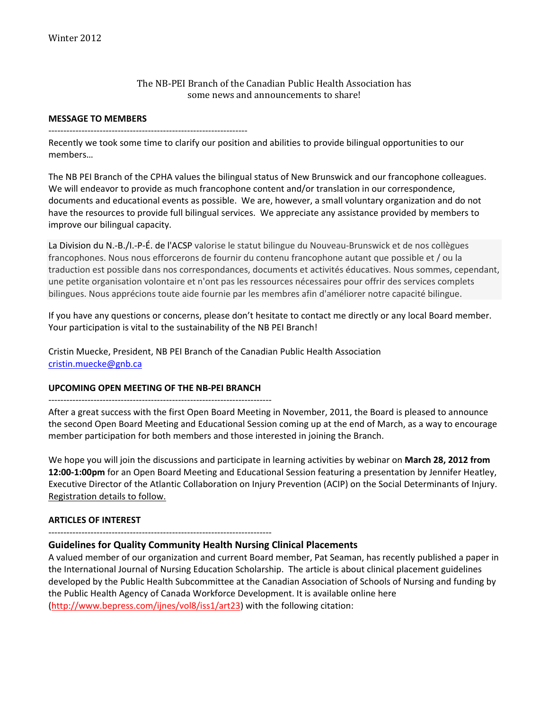### The NB‐PEI Branch of the Canadian Public Health Association has some news and announcements to share!

#### **MESSAGE TO MEMBERS**

‐‐‐‐‐‐‐‐‐‐‐‐‐‐‐‐‐‐‐‐‐‐‐‐‐‐‐‐‐‐‐‐‐‐‐‐‐‐‐‐‐‐‐‐‐‐‐‐‐‐‐‐‐‐‐‐‐‐‐‐‐‐‐‐‐‐

Recently we took some time to clarify our position and abilities to provide bilingual opportunities to our members…

The NB PEI Branch of the CPHA values the bilingual status of New Brunswick and our francophone colleagues. We will endeavor to provide as much francophone content and/or translation in our correspondence, documents and educational events as possible. We are, however, a small voluntary organization and do not have the resources to provide full bilingual services. We appreciate any assistance provided by members to improve our bilingual capacity.

La Division du N.‐B./I.‐P‐É. de l'ACSP valorise le statut bilingue du Nouveau‐Brunswick et de nos collègues francophones. Nous nous efforcerons de fournir du contenu francophone autant que possible et / ou la traduction est possible dans nos correspondances, documents et activités éducatives. Nous sommes, cependant, une petite organisation volontaire et n'ont pas les ressources nécessaires pour offrir des services complets bilingues. Nous apprécions toute aide fournie par les membres afin d'améliorer notre capacité bilingue.

If you have any questions or concerns, please don't hesitate to contact me directly or any local Board member. Your participation is vital to the sustainability of the NB PEI Branch!

Cristin Muecke, President, NB PEI Branch of the Canadian Public Health Association cristin.muecke@gnb.ca

#### **UPCOMING OPEN MEETING OF THE NB‐PEI BRANCH**

### ‐‐‐‐‐‐‐‐‐‐‐‐‐‐‐‐‐‐‐‐‐‐‐‐‐‐‐‐‐‐‐‐‐‐‐‐‐‐‐‐‐‐‐‐‐‐‐‐‐‐‐‐‐‐‐‐‐‐‐‐‐‐‐‐‐‐‐‐‐‐‐‐‐‐

After a great success with the first Open Board Meeting in November, 2011, the Board is pleased to announce the second Open Board Meeting and Educational Session coming up at the end of March, as a way to encourage member participation for both members and those interested in joining the Branch.

We hope you will join the discussions and participate in learning activities by webinar on **March 28, 2012 from 12:00‐1:00pm** for an Open Board Meeting and Educational Session featuring a presentation by Jennifer Heatley, Executive Director of the Atlantic Collaboration on Injury Prevention (ACIP) on the Social Determinants of Injury. Registration details to follow.

### **ARTICLES OF INTEREST**

‐‐‐‐‐‐‐‐‐‐‐‐‐‐‐‐‐‐‐‐‐‐‐‐‐‐‐‐‐‐‐‐‐‐‐‐‐‐‐‐‐‐‐‐‐‐‐‐‐‐‐‐‐‐‐‐‐‐‐‐‐‐‐‐‐‐‐‐‐‐‐‐‐‐

### **Guidelines for Quality Community Health Nursing Clinical Placements**

A valued member of our organization and current Board member, Pat Seaman, has recently published a paper in the International Journal of Nursing Education Scholarship. The article is about clinical placement guidelines developed by the Public Health Subcommittee at the Canadian Association of Schools of Nursing and funding by the Public Health Agency of Canada Workforce Development. It is available online here (http://www.bepress.com/ijnes/vol8/iss1/art23) with the following citation: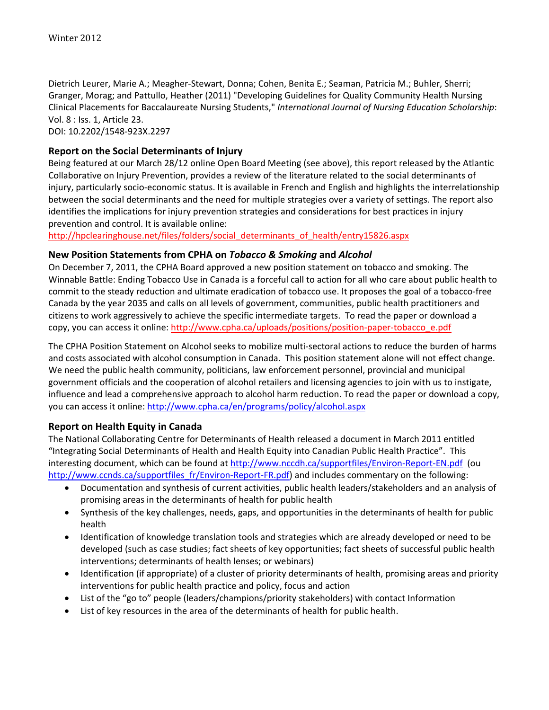Dietrich Leurer, Marie A.; Meagher‐Stewart, Donna; Cohen, Benita E.; Seaman, Patricia M.; Buhler, Sherri; Granger, Morag; and Pattullo, Heather (2011) "Developing Guidelines for Quality Community Health Nursing Clinical Placements for Baccalaureate Nursing Students," *International Journal of Nursing Education Scholarship*: Vol. 8 : Iss. 1, Article 23. DOI: 10.2202/1548‐923X.2297

# **Report on the Social Determinants of Injury**

Being featured at our March 28/12 online Open Board Meeting (see above), this report released by the Atlantic Collaborative on Injury Prevention, provides a review of the literature related to the social determinants of injury, particularly socio‐economic status. It is available in French and English and highlights the interrelationship between the social determinants and the need for multiple strategies over a variety of settings. The report also identifies the implications for injury prevention strategies and considerations for best practices in injury prevention and control. It is available online:

http://hpclearinghouse.net/files/folders/social\_determinants\_of\_health/entry15826.aspx

### **New Position Statements from CPHA on** *Tobacco & Smoking* **and** *Alcohol*

On December 7, 2011, the CPHA Board approved a new position statement on tobacco and smoking. The Winnable Battle: Ending Tobacco Use in Canada is a forceful call to action for all who care about public health to commit to the steady reduction and ultimate eradication of tobacco use. It proposes the goal of a tobacco‐free Canada by the year 2035 and calls on all levels of government, communities, public health practitioners and citizens to work aggressively to achieve the specific intermediate targets. To read the paper or download a copy, you can access it online: http://www.cpha.ca/uploads/positions/position‐paper‐tobacco\_e.pdf

The CPHA Position Statement on Alcohol seeks to mobilize multi‐sectoral actions to reduce the burden of harms and costs associated with alcohol consumption in Canada. This position statement alone will not effect change. We need the public health community, politicians, law enforcement personnel, provincial and municipal government officials and the cooperation of alcohol retailers and licensing agencies to join with us to instigate, influence and lead a comprehensive approach to alcohol harm reduction. To read the paper or download a copy, you can access it online: http://www.cpha.ca/en/programs/policy/alcohol.aspx

### **Report on Health Equity in Canada**

The National Collaborating Centre for Determinants of Health released a document in March 2011 entitled "Integrating Social Determinants of Health and Health Equity into Canadian Public Health Practice". This interesting document, which can be found at http://www.nccdh.ca/supportfiles/Environ-Report-EN.pdf (ou http://www.ccnds.ca/supportfiles\_fr/Environ-Report-FR.pdf) and includes commentary on the following:

- Documentation and synthesis of current activities, public health leaders/stakeholders and an analysis of promising areas in the determinants of health for public health
- Synthesis of the key challenges, needs, gaps, and opportunities in the determinants of health for public health
- Identification of knowledge translation tools and strategies which are already developed or need to be developed (such as case studies; fact sheets of key opportunities; fact sheets of successful public health interventions; determinants of health lenses; or webinars)
- Identification (if appropriate) of a cluster of priority determinants of health, promising areas and priority interventions for public health practice and policy, focus and action
- List of the "go to" people (leaders/champions/priority stakeholders) with contact Information
- List of key resources in the area of the determinants of health for public health.